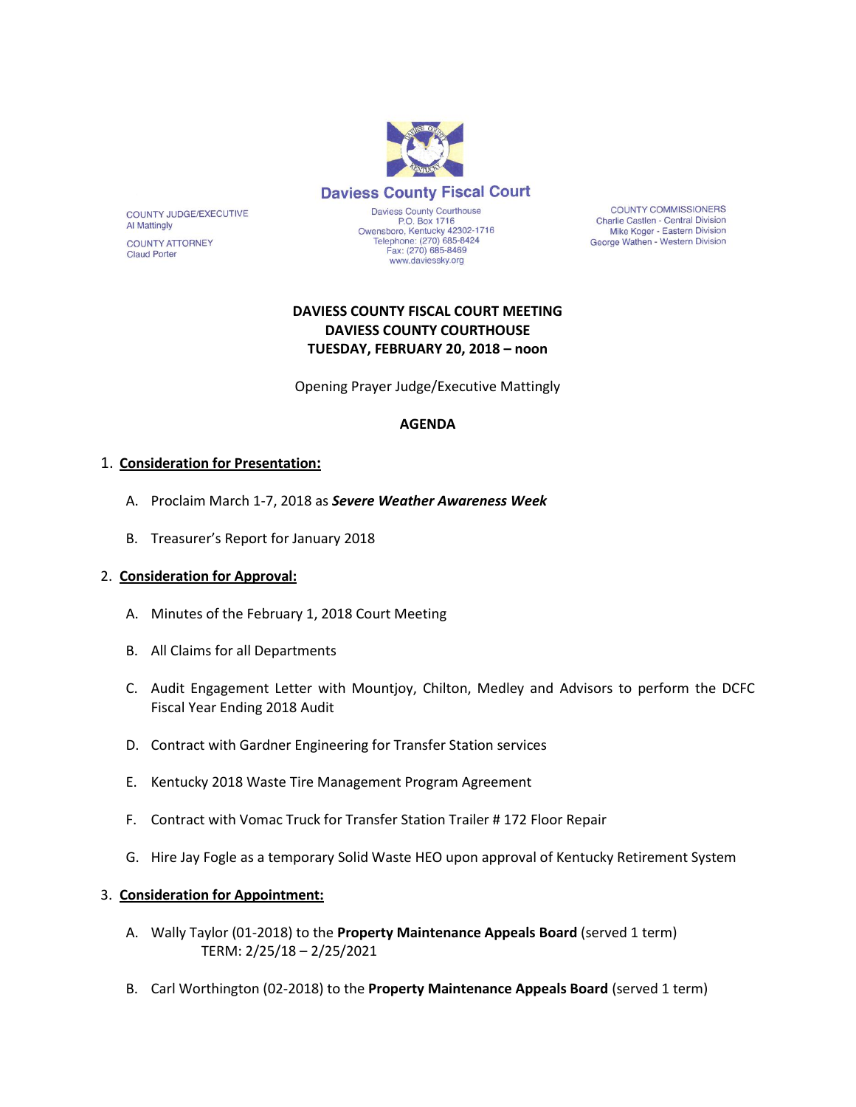

**COUNTY COMMISSIONERS** Charlie Castlen - Central Division Mike Koger - Eastern Division George Wathen - Western Division

# **DAVIESS COUNTY FISCAL COURT MEETING DAVIESS COUNTY COURTHOUSE TUESDAY, FEBRUARY 20, 2018 – noon**

www.daviessky.org

Opening Prayer Judge/Executive Mattingly

### **AGENDA**

### 1. **Consideration for Presentation:**

COUNTY JUDGE/EXECUTIVE

**COUNTY ATTORNEY** 

**Al Mattingly** 

**Claud Porter** 

- A. Proclaim March 1-7, 2018 as *Severe Weather Awareness Week*
- B. Treasurer's Report for January 2018

#### 2. **Consideration for Approval:**

- A. Minutes of the February 1, 2018 Court Meeting
- B. All Claims for all Departments
- C. Audit Engagement Letter with Mountjoy, Chilton, Medley and Advisors to perform the DCFC Fiscal Year Ending 2018 Audit
- D. Contract with Gardner Engineering for Transfer Station services
- E. Kentucky 2018 Waste Tire Management Program Agreement
- F. Contract with Vomac Truck for Transfer Station Trailer # 172 Floor Repair
- G. Hire Jay Fogle as a temporary Solid Waste HEO upon approval of Kentucky Retirement System

#### 3. **Consideration for Appointment:**

- A. Wally Taylor (01-2018) to the **Property Maintenance Appeals Board** (served 1 term) TERM: 2/25/18 – 2/25/2021
- B. Carl Worthington (02-2018) to the **Property Maintenance Appeals Board** (served 1 term)